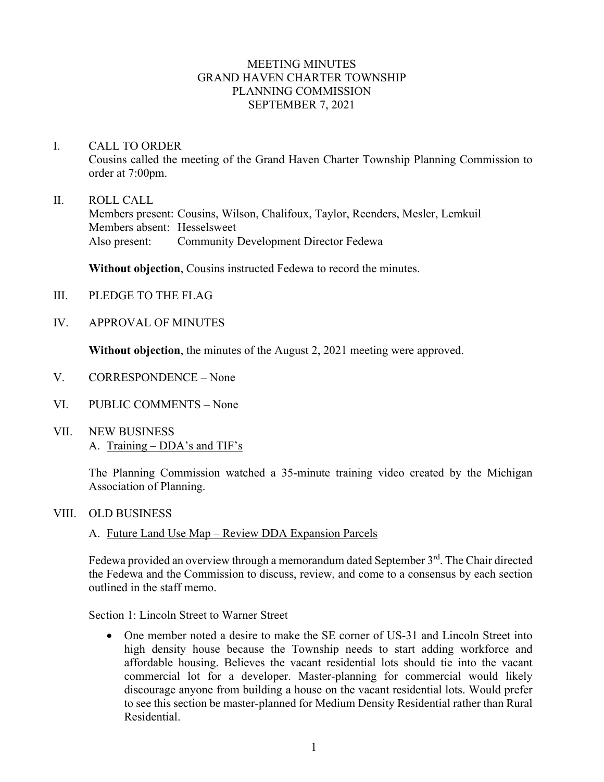## MEETING MINUTES GRAND HAVEN CHARTER TOWNSHIP PLANNING COMMISSION SEPTEMBER 7, 2021

- I. CALL TO ORDER Cousins called the meeting of the Grand Haven Charter Township Planning Commission to order at 7:00pm.
- II. ROLL CALL Members present: Cousins, Wilson, Chalifoux, Taylor, Reenders, Mesler, Lemkuil Members absent: Hesselsweet Also present: Community Development Director Fedewa

**Without objection**, Cousins instructed Fedewa to record the minutes.

- III. PLEDGE TO THE FLAG
- IV. APPROVAL OF MINUTES

**Without objection**, the minutes of the August 2, 2021 meeting were approved.

- V. CORRESPONDENCE None
- VI. PUBLIC COMMENTS None
- VII. NEW BUSINESS A. Training – DDA's and TIF's

The Planning Commission watched a 35-minute training video created by the Michigan Association of Planning.

- VIII. OLD BUSINESS
	- A. Future Land Use Map Review DDA Expansion Parcels

Fedewa provided an overview through a memorandum dated September  $3<sup>rd</sup>$ . The Chair directed the Fedewa and the Commission to discuss, review, and come to a consensus by each section outlined in the staff memo.

Section 1: Lincoln Street to Warner Street

• One member noted a desire to make the SE corner of US-31 and Lincoln Street into high density house because the Township needs to start adding workforce and affordable housing. Believes the vacant residential lots should tie into the vacant commercial lot for a developer. Master-planning for commercial would likely discourage anyone from building a house on the vacant residential lots. Would prefer to see this section be master-planned for Medium Density Residential rather than Rural Residential.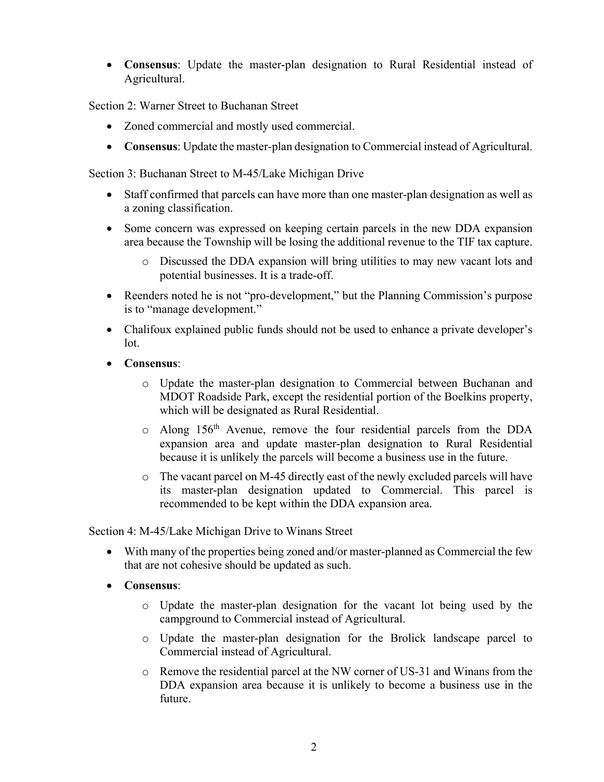• **Consensus**: Update the master-plan designation to Rural Residential instead of Agricultural.

Section 2: Warner Street to Buchanan Street

- Zoned commercial and mostly used commercial.
- **Consensus**: Update the master-plan designation to Commercial instead of Agricultural.

Section 3: Buchanan Street to M-45/Lake Michigan Drive

- Staff confirmed that parcels can have more than one master-plan designation as well as a zoning classification.
- Some concern was expressed on keeping certain parcels in the new DDA expansion area because the Township will be losing the additional revenue to the TIF tax capture.
	- o Discussed the DDA expansion will bring utilities to may new vacant lots and potential businesses. It is a trade-off.
- Reenders noted he is not "pro-development," but the Planning Commission's purpose is to "manage development."
- Chalifoux explained public funds should not be used to enhance a private developer's lot.
- **Consensus**:
	- o Update the master-plan designation to Commercial between Buchanan and MDOT Roadside Park, except the residential portion of the Boelkins property, which will be designated as Rural Residential.
	- $\circ$  Along 156<sup>th</sup> Avenue, remove the four residential parcels from the DDA expansion area and update master-plan designation to Rural Residential because it is unlikely the parcels will become a business use in the future.
	- $\circ$  The vacant parcel on M-45 directly east of the newly excluded parcels will have its master-plan designation updated to Commercial. This parcel is recommended to be kept within the DDA expansion area.

Section 4: M-45/Lake Michigan Drive to Winans Street

- With many of the properties being zoned and/or master-planned as Commercial the few that are not cohesive should be updated as such.
- **Consensus**:
	- o Update the master-plan designation for the vacant lot being used by the campground to Commercial instead of Agricultural.
	- o Update the master-plan designation for the Brolick landscape parcel to Commercial instead of Agricultural.
	- o Remove the residential parcel at the NW corner of US-31 and Winans from the DDA expansion area because it is unlikely to become a business use in the future.